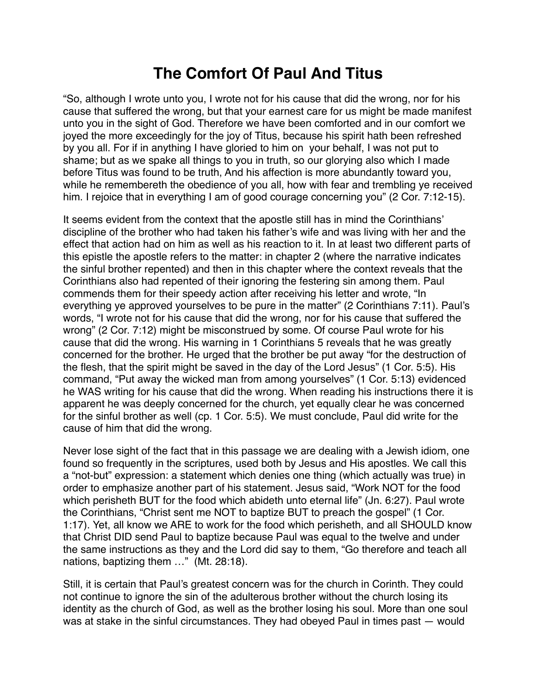## **The Comfort Of Paul And Titus**

"So, although I wrote unto you, I wrote not for his cause that did the wrong, nor for his cause that suffered the wrong, but that your earnest care for us might be made manifest unto you in the sight of God. Therefore we have been comforted and in our comfort we joyed the more exceedingly for the joy of Titus, because his spirit hath been refreshed by you all. For if in anything I have gloried to him on your behalf, I was not put to shame; but as we spake all things to you in truth, so our glorying also which I made before Titus was found to be truth, And his affection is more abundantly toward you, while he remembereth the obedience of you all, how with fear and trembling ye received him. I rejoice that in everything I am of good courage concerning you" (2 Cor. 7:12-15).

It seems evident from the context that the apostle still has in mind the Corinthians' discipline of the brother who had taken his father's wife and was living with her and the effect that action had on him as well as his reaction to it. In at least two different parts of this epistle the apostle refers to the matter: in chapter 2 (where the narrative indicates the sinful brother repented) and then in this chapter where the context reveals that the Corinthians also had repented of their ignoring the festering sin among them. Paul commends them for their speedy action after receiving his letter and wrote, "In everything ye approved yourselves to be pure in the matter" (2 Corinthians 7:11). Paul's words, "I wrote not for his cause that did the wrong, nor for his cause that suffered the wrong" (2 Cor. 7:12) might be misconstrued by some. Of course Paul wrote for his cause that did the wrong. His warning in 1 Corinthians 5 reveals that he was greatly concerned for the brother. He urged that the brother be put away "for the destruction of the flesh, that the spirit might be saved in the day of the Lord Jesus" (1 Cor. 5:5). His command, "Put away the wicked man from among yourselves" (1 Cor. 5:13) evidenced he WAS writing for his cause that did the wrong. When reading his instructions there it is apparent he was deeply concerned for the church, yet equally clear he was concerned for the sinful brother as well (cp. 1 Cor. 5:5). We must conclude, Paul did write for the cause of him that did the wrong.

Never lose sight of the fact that in this passage we are dealing with a Jewish idiom, one found so frequently in the scriptures, used both by Jesus and His apostles. We call this a "not-but" expression: a statement which denies one thing (which actually was true) in order to emphasize another part of his statement. Jesus said, "Work NOT for the food which perisheth BUT for the food which abideth unto eternal life" (Jn. 6:27). Paul wrote the Corinthians, "Christ sent me NOT to baptize BUT to preach the gospel" (1 Cor. 1:17). Yet, all know we ARE to work for the food which perisheth, and all SHOULD know that Christ DID send Paul to baptize because Paul was equal to the twelve and under the same instructions as they and the Lord did say to them, "Go therefore and teach all nations, baptizing them …" (Mt. 28:18).

Still, it is certain that Paul's greatest concern was for the church in Corinth. They could not continue to ignore the sin of the adulterous brother without the church losing its identity as the church of God, as well as the brother losing his soul. More than one soul was at stake in the sinful circumstances. They had obeyed Paul in times past — would